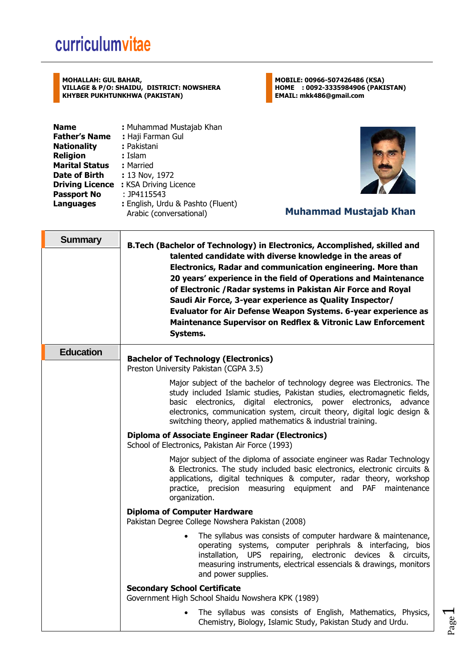## curriculumvitae

**MOHALLAH: GUL BAHAR, VILLAGE & P/O: SHAIDU, DISTRICT: NOWSHERA KHYBER PUKHTUNKHWA (PAKISTAN)**

**Name : Muhammad Mustajab Khan : Muhammad Mustajab Khan Father's Name : Haji Farman Gul :** Haji Farman Gul<br>: Pakistani **Nationality Religion :** Islam **Marital Status :** Married **Date of Birth : 13 Nov, 1972 Driving Licence :** KSA Driving Licence **Passport No** : JP4115543<br>**Languages** : English, Urc **Languages :** English, Urdu & Pashto (Fluent)





## Arabic (conversational) **Muhammad Mustajab Khan**

| <b>Summary</b>                                                                          | <b>B.Tech (Bachelor of Technology) in Electronics, Accomplished, skilled and</b>                                                                                                                                                                                                                                                                                                                                                                                                  |  |  |
|-----------------------------------------------------------------------------------------|-----------------------------------------------------------------------------------------------------------------------------------------------------------------------------------------------------------------------------------------------------------------------------------------------------------------------------------------------------------------------------------------------------------------------------------------------------------------------------------|--|--|
|                                                                                         | talented candidate with diverse knowledge in the areas of<br>Electronics, Radar and communication engineering. More than<br>20 years' experience in the field of Operations and Maintenance<br>of Electronic / Radar systems in Pakistan Air Force and Royal<br>Saudi Air Force, 3-year experience as Quality Inspector/<br>Evaluator for Air Defense Weapon Systems. 6-year experience as<br><b>Maintenance Supervisor on Redflex &amp; Vitronic Law Enforcement</b><br>Systems. |  |  |
| <b>Education</b>                                                                        | <b>Bachelor of Technology (Electronics)</b><br>Preston University Pakistan (CGPA 3.5)                                                                                                                                                                                                                                                                                                                                                                                             |  |  |
|                                                                                         | Major subject of the bachelor of technology degree was Electronics. The<br>study included Islamic studies, Pakistan studies, electromagnetic fields,<br>basic electronics, digital electronics, power electronics, advance<br>electronics, communication system, circuit theory, digital logic design &<br>switching theory, applied mathematics & industrial training.                                                                                                           |  |  |
|                                                                                         | <b>Diploma of Associate Engineer Radar (Electronics)</b><br>School of Electronics, Pakistan Air Force (1993)                                                                                                                                                                                                                                                                                                                                                                      |  |  |
|                                                                                         | Major subject of the diploma of associate engineer was Radar Technology<br>& Electronics. The study included basic electronics, electronic circuits &<br>applications, digital techniques & computer, radar theory, workshop<br>practice, precision measuring equipment and PAF<br>maintenance<br>organization.                                                                                                                                                                   |  |  |
| <b>Diploma of Computer Hardware</b><br>Pakistan Degree College Nowshera Pakistan (2008) |                                                                                                                                                                                                                                                                                                                                                                                                                                                                                   |  |  |
|                                                                                         | The syllabus was consists of computer hardware & maintenance,<br>operating systems, computer periphrals & interfacing, bios<br>installation, UPS repairing, electronic devices & circuits,<br>measuring instruments, electrical essencials & drawings, monitors<br>and power supplies.                                                                                                                                                                                            |  |  |
|                                                                                         | <b>Secondary School Certificate</b><br>Government High School Shaidu Nowshera KPK (1989)                                                                                                                                                                                                                                                                                                                                                                                          |  |  |
|                                                                                         | The syllabus was consists of English, Mathematics, Physics,<br>Chemistry, Biology, Islamic Study, Pakistan Study and Urdu.                                                                                                                                                                                                                                                                                                                                                        |  |  |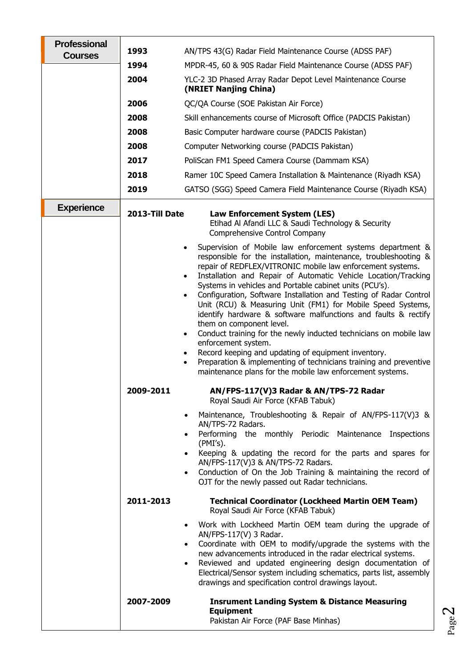| <b>Professional</b><br><b>Courses</b> | 1993           | AN/TPS 43(G) Radar Field Maintenance Course (ADSS PAF)                                                                                                                                                                                                                                                                                                                                                                                                                                                                                                                                                                                                                                                                                                                                                                                                                                                                                                                                                                                                                                                                                                                                                                                                                                                                                                                                              |
|---------------------------------------|----------------|-----------------------------------------------------------------------------------------------------------------------------------------------------------------------------------------------------------------------------------------------------------------------------------------------------------------------------------------------------------------------------------------------------------------------------------------------------------------------------------------------------------------------------------------------------------------------------------------------------------------------------------------------------------------------------------------------------------------------------------------------------------------------------------------------------------------------------------------------------------------------------------------------------------------------------------------------------------------------------------------------------------------------------------------------------------------------------------------------------------------------------------------------------------------------------------------------------------------------------------------------------------------------------------------------------------------------------------------------------------------------------------------------------|
|                                       | 1994           | MPDR-45, 60 & 90S Radar Field Maintenance Course (ADSS PAF)                                                                                                                                                                                                                                                                                                                                                                                                                                                                                                                                                                                                                                                                                                                                                                                                                                                                                                                                                                                                                                                                                                                                                                                                                                                                                                                                         |
|                                       | 2004           | YLC-2 3D Phased Array Radar Depot Level Maintenance Course<br>(NRIET Nanjing China)                                                                                                                                                                                                                                                                                                                                                                                                                                                                                                                                                                                                                                                                                                                                                                                                                                                                                                                                                                                                                                                                                                                                                                                                                                                                                                                 |
|                                       | 2006           | QC/QA Course (SOE Pakistan Air Force)                                                                                                                                                                                                                                                                                                                                                                                                                                                                                                                                                                                                                                                                                                                                                                                                                                                                                                                                                                                                                                                                                                                                                                                                                                                                                                                                                               |
|                                       | 2008           | Skill enhancements course of Microsoft Office (PADCIS Pakistan)                                                                                                                                                                                                                                                                                                                                                                                                                                                                                                                                                                                                                                                                                                                                                                                                                                                                                                                                                                                                                                                                                                                                                                                                                                                                                                                                     |
|                                       | 2008           | Basic Computer hardware course (PADCIS Pakistan)                                                                                                                                                                                                                                                                                                                                                                                                                                                                                                                                                                                                                                                                                                                                                                                                                                                                                                                                                                                                                                                                                                                                                                                                                                                                                                                                                    |
|                                       | 2008           | Computer Networking course (PADCIS Pakistan)                                                                                                                                                                                                                                                                                                                                                                                                                                                                                                                                                                                                                                                                                                                                                                                                                                                                                                                                                                                                                                                                                                                                                                                                                                                                                                                                                        |
|                                       | 2017           | PoliScan FM1 Speed Camera Course (Dammam KSA)                                                                                                                                                                                                                                                                                                                                                                                                                                                                                                                                                                                                                                                                                                                                                                                                                                                                                                                                                                                                                                                                                                                                                                                                                                                                                                                                                       |
|                                       | 2018           | Ramer 10C Speed Camera Installation & Maintenance (Riyadh KSA)                                                                                                                                                                                                                                                                                                                                                                                                                                                                                                                                                                                                                                                                                                                                                                                                                                                                                                                                                                                                                                                                                                                                                                                                                                                                                                                                      |
|                                       | 2019           | GATSO (SGG) Speed Camera Field Maintenance Course (Riyadh KSA)                                                                                                                                                                                                                                                                                                                                                                                                                                                                                                                                                                                                                                                                                                                                                                                                                                                                                                                                                                                                                                                                                                                                                                                                                                                                                                                                      |
| <b>Experience</b>                     | 2013-Till Date | Law Enforcement System (LES)<br>Etihad Al Afandi LLC & Saudi Technology & Security<br>Comprehensive Control Company                                                                                                                                                                                                                                                                                                                                                                                                                                                                                                                                                                                                                                                                                                                                                                                                                                                                                                                                                                                                                                                                                                                                                                                                                                                                                 |
|                                       | 2009-2011      | Supervision of Mobile law enforcement systems department &<br>$\bullet$<br>responsible for the installation, maintenance, troubleshooting &<br>repair of REDFLEX/VITRONIC mobile law enforcement systems.<br>Installation and Repair of Automatic Vehicle Location/Tracking<br>$\bullet$<br>Systems in vehicles and Portable cabinet units (PCU's).<br>Configuration, Software Installation and Testing of Radar Control<br>$\bullet$<br>Unit (RCU) & Measuring Unit (FM1) for Mobile Speed Systems,<br>identify hardware & software malfunctions and faults & rectify<br>them on component level.<br>Conduct training for the newly inducted technicians on mobile law<br>$\bullet$<br>enforcement system.<br>Record keeping and updating of equipment inventory.<br>$\bullet$<br>Preparation & implementing of technicians training and preventive<br>$\bullet$<br>maintenance plans for the mobile law enforcement systems.<br>AN/FPS-117(V)3 Radar & AN/TPS-72 Radar<br>Royal Saudi Air Force (KFAB Tabuk)<br>Maintenance, Troubleshooting & Repair of AN/FPS-117(V)3 &<br>$\bullet$<br>AN/TPS-72 Radars.<br>Performing the monthly Periodic Maintenance Inspections<br>$\bullet$<br>$(PMI's)$ .<br>Keeping & updating the record for the parts and spares for<br>$\bullet$<br>AN/FPS-117(V)3 & AN/TPS-72 Radars.<br>Conduction of On the Job Training & maintaining the record of<br>$\bullet$ |
|                                       | 2011-2013      | OJT for the newly passed out Radar technicians.<br><b>Technical Coordinator (Lockheed Martin OEM Team)</b><br>Royal Saudi Air Force (KFAB Tabuk)                                                                                                                                                                                                                                                                                                                                                                                                                                                                                                                                                                                                                                                                                                                                                                                                                                                                                                                                                                                                                                                                                                                                                                                                                                                    |
|                                       |                | Work with Lockheed Martin OEM team during the upgrade of<br>$\bullet$<br>AN/FPS-117(V) 3 Radar.<br>Coordinate with OEM to modify/upgrade the systems with the<br>$\bullet$<br>new advancements introduced in the radar electrical systems.<br>Reviewed and updated engineering design documentation of<br>$\bullet$<br>Electrical/Sensor system including schematics, parts list, assembly<br>drawings and specification control drawings layout.                                                                                                                                                                                                                                                                                                                                                                                                                                                                                                                                                                                                                                                                                                                                                                                                                                                                                                                                                   |
|                                       | 2007-2009      | <b>Insrument Landing System &amp; Distance Measuring</b><br><b>Equipment</b><br>Pakistan Air Force (PAF Base Minhas)                                                                                                                                                                                                                                                                                                                                                                                                                                                                                                                                                                                                                                                                                                                                                                                                                                                                                                                                                                                                                                                                                                                                                                                                                                                                                |

Page  $\boldsymbol{\sim}$